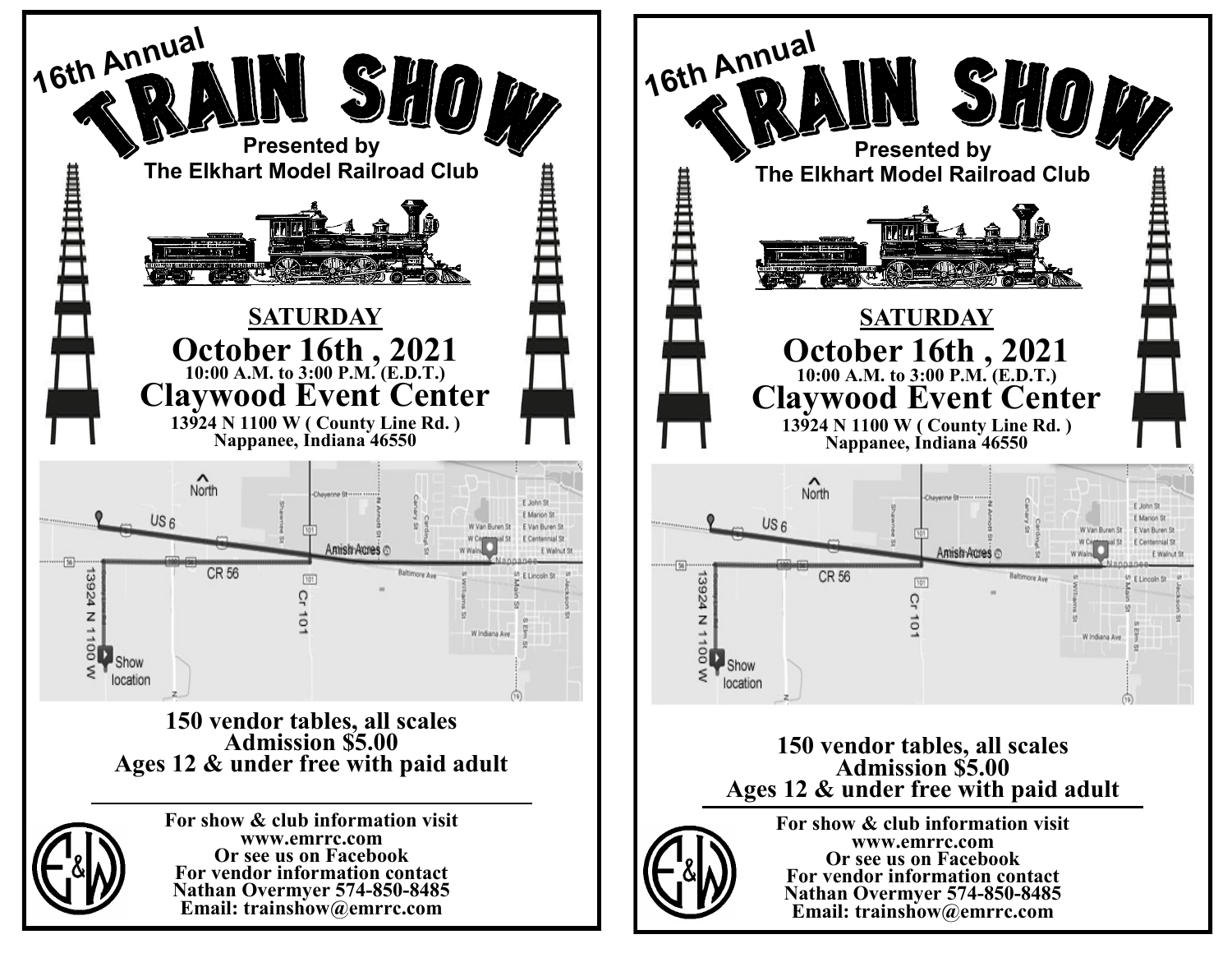